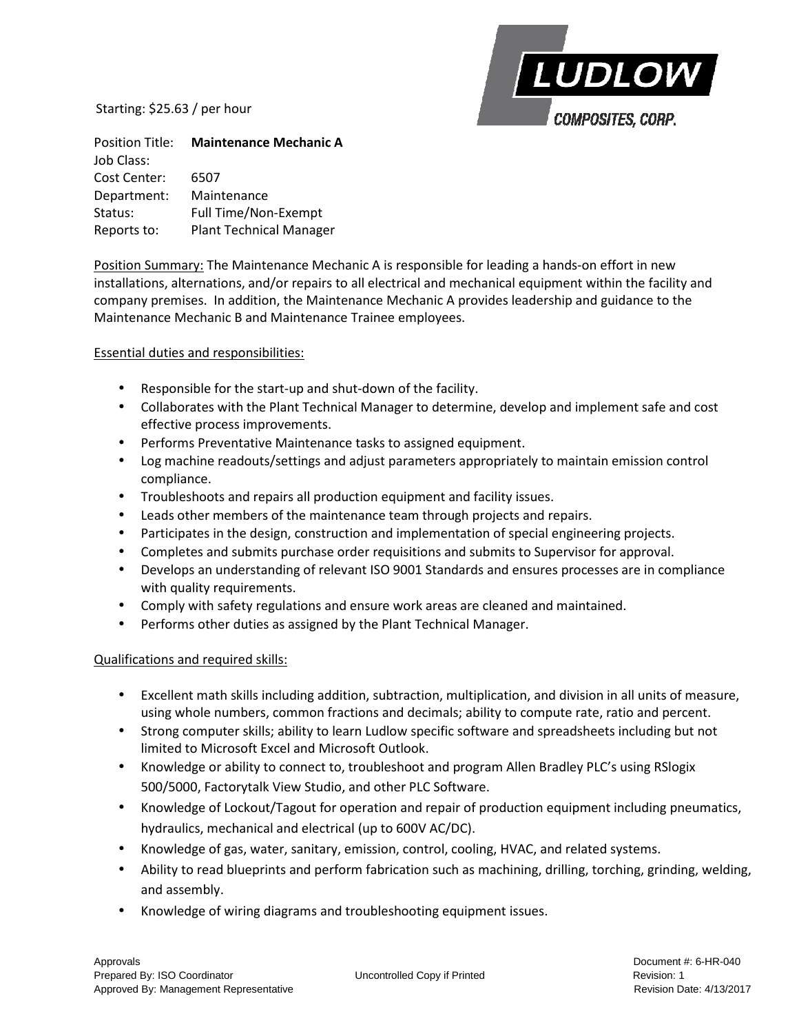Starting: \$25.63 / per hour



Position Title: **Maintenance Mechanic A**  Job Class: Cost Center: 6507 Department: Maintenance Status: Full Time/Non-Exempt Reports to: Plant Technical Manager

Position Summary: The Maintenance Mechanic A is responsible for leading a hands-on effort in new installations, alternations, and/or repairs to all electrical and mechanical equipment within the facility and company premises. In addition, the Maintenance Mechanic A provides leadership and guidance to the Maintenance Mechanic B and Maintenance Trainee employees.

Essential duties and responsibilities:

- Responsible for the start-up and shut-down of the facility.
- Collaborates with the Plant Technical Manager to determine, develop and implement safe and cost effective process improvements.
- Performs Preventative Maintenance tasks to assigned equipment.
- Log machine readouts/settings and adjust parameters appropriately to maintain emission control compliance.
- Troubleshoots and repairs all production equipment and facility issues.
- Leads other members of the maintenance team through projects and repairs.
- Participates in the design, construction and implementation of special engineering projects.
- Completes and submits purchase order requisitions and submits to Supervisor for approval.
- Develops an understanding of relevant ISO 9001 Standards and ensures processes are in compliance with quality requirements.
- Comply with safety regulations and ensure work areas are cleaned and maintained.
- Performs other duties as assigned by the Plant Technical Manager.

## Qualifications and required skills:

- Excellent math skills including addition, subtraction, multiplication, and division in all units of measure, using whole numbers, common fractions and decimals; ability to compute rate, ratio and percent.
- Strong computer skills; ability to learn Ludlow specific software and spreadsheets including but not limited to Microsoft Excel and Microsoft Outlook.
- Knowledge or ability to connect to, troubleshoot and program Allen Bradley PLC's using RSlogix 500/5000, Factorytalk View Studio, and other PLC Software.
- Knowledge of Lockout/Tagout for operation and repair of production equipment including pneumatics, hydraulics, mechanical and electrical (up to 600V AC/DC).
- Knowledge of gas, water, sanitary, emission, control, cooling, HVAC, and related systems.
- Ability to read blueprints and perform fabrication such as machining, drilling, torching, grinding, welding, and assembly.
- Knowledge of wiring diagrams and troubleshooting equipment issues.